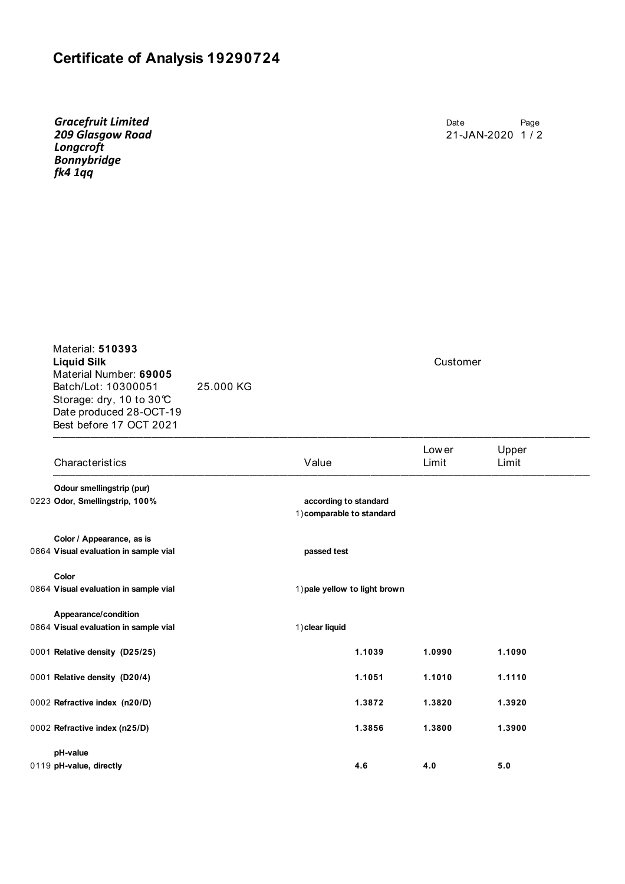## **Certificate of Analysis 19290724**

*Gracefruit Limited 209 Glasgow Road Longcroft Bonnybridge fk4 1qq*

Date Page 21-JAN-2020 1 / 2

 $\frac{1}{2}$ Material: **510393 Liquid Silk** Customer Material Number: **69005** Batch/Lot: 10300051 25.000 KG Storage: dry, 10 to 30°C Date produced 28-OCT-19 Best before 17 OCT 2021

| Characteristics                       | Value                                              | Low er<br>Limit | Upper<br>Limit |  |
|---------------------------------------|----------------------------------------------------|-----------------|----------------|--|
| Odour smellingstrip (pur)             |                                                    |                 |                |  |
| 0223 Odor, Smellingstrip, 100%        | according to standard<br>1) comparable to standard |                 |                |  |
| Color / Appearance, as is             |                                                    |                 |                |  |
| 0864 Visual evaluation in sample vial | passed test                                        |                 |                |  |
| Color                                 |                                                    |                 |                |  |
| 0864 Visual evaluation in sample vial | 1) pale yellow to light brown                      |                 |                |  |
| Appearance/condition                  |                                                    |                 |                |  |
| 0864 Visual evaluation in sample vial | 1) clear liquid                                    |                 |                |  |
| 0001 Relative density (D25/25)        | 1.1039                                             | 1.0990          | 1.1090         |  |
| 0001 Relative density (D20/4)         | 1.1051                                             | 1.1010          | 1.1110         |  |
| 0002 Refractive index (n20/D)         | 1.3872                                             | 1.3820          | 1.3920         |  |
| 0002 Refractive index (n25/D)         | 1.3856                                             | 1.3800          | 1.3900         |  |
| pH-value                              |                                                    |                 |                |  |
| 0119 pH-value, directly               | 4.6                                                | 4.0             | 5.0            |  |